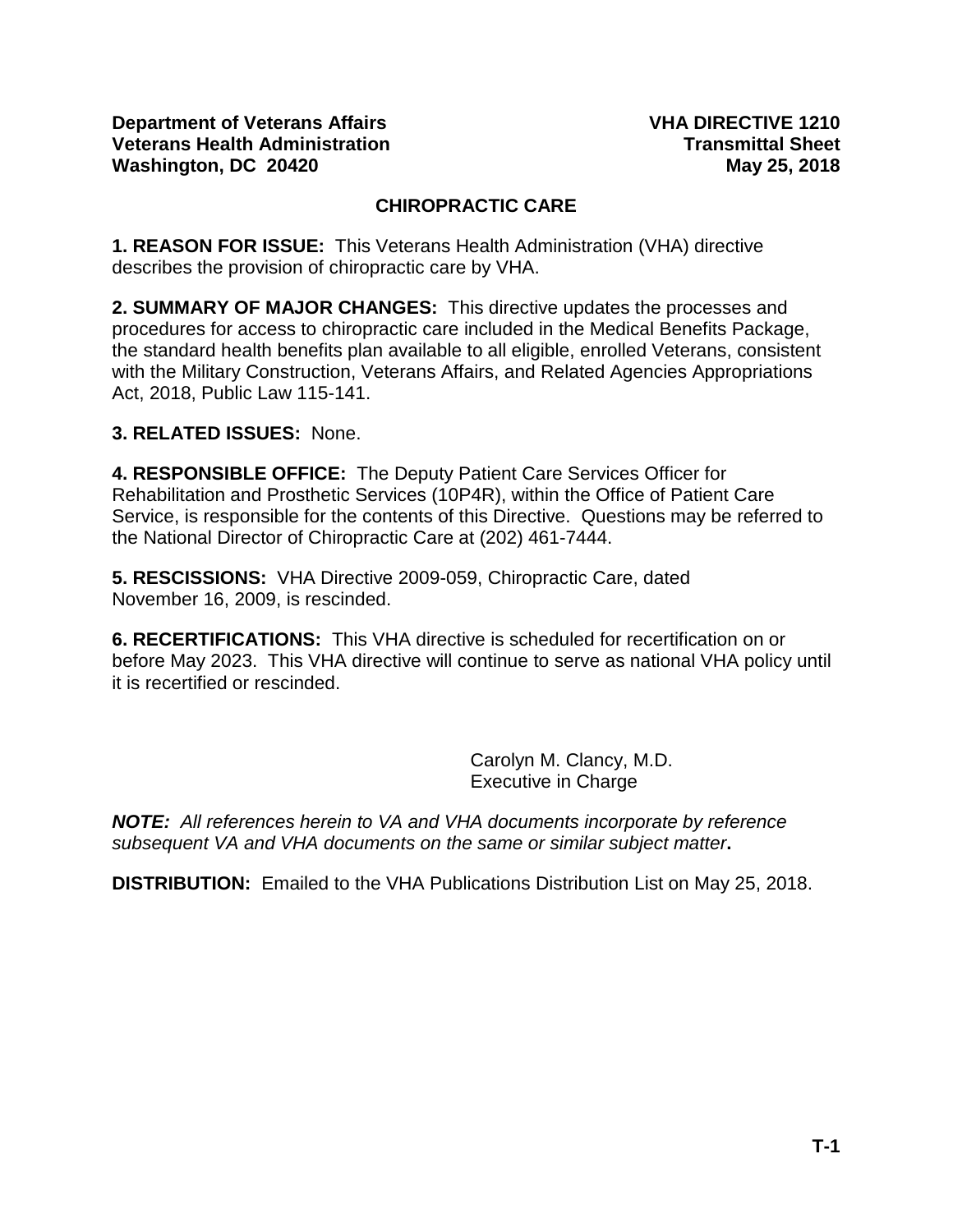### **CHIROPRACTIC CARE**

**1. REASON FOR ISSUE:** This Veterans Health Administration (VHA) directive describes the provision of chiropractic care by VHA.

**2. SUMMARY OF MAJOR CHANGES:** This directive updates the processes and procedures for access to chiropractic care included in the Medical Benefits Package, the standard health benefits plan available to all eligible, enrolled Veterans, consistent with the Military Construction, Veterans Affairs, and Related Agencies Appropriations Act, 2018, Public Law 115-141.

### **3. RELATED ISSUES:** None.

**4. RESPONSIBLE OFFICE:** The Deputy Patient Care Services Officer for Rehabilitation and Prosthetic Services (10P4R), within the Office of Patient Care Service, is responsible for the contents of this Directive. Questions may be referred to the National Director of Chiropractic Care at (202) 461-7444.

**5. RESCISSIONS:** VHA Directive 2009-059, Chiropractic Care, dated November 16, 2009, is rescinded.

**6. RECERTIFICATIONS:** This VHA directive is scheduled for recertification on or before May 2023. This VHA directive will continue to serve as national VHA policy until it is recertified or rescinded.

> Carolyn M. Clancy, M.D. Executive in Charge

*NOTE: All references herein to VA and VHA documents incorporate by reference subsequent VA and VHA documents on the same or similar subject matter***.** 

**DISTRIBUTION:** Emailed to the VHA Publications Distribution List on May 25, 2018.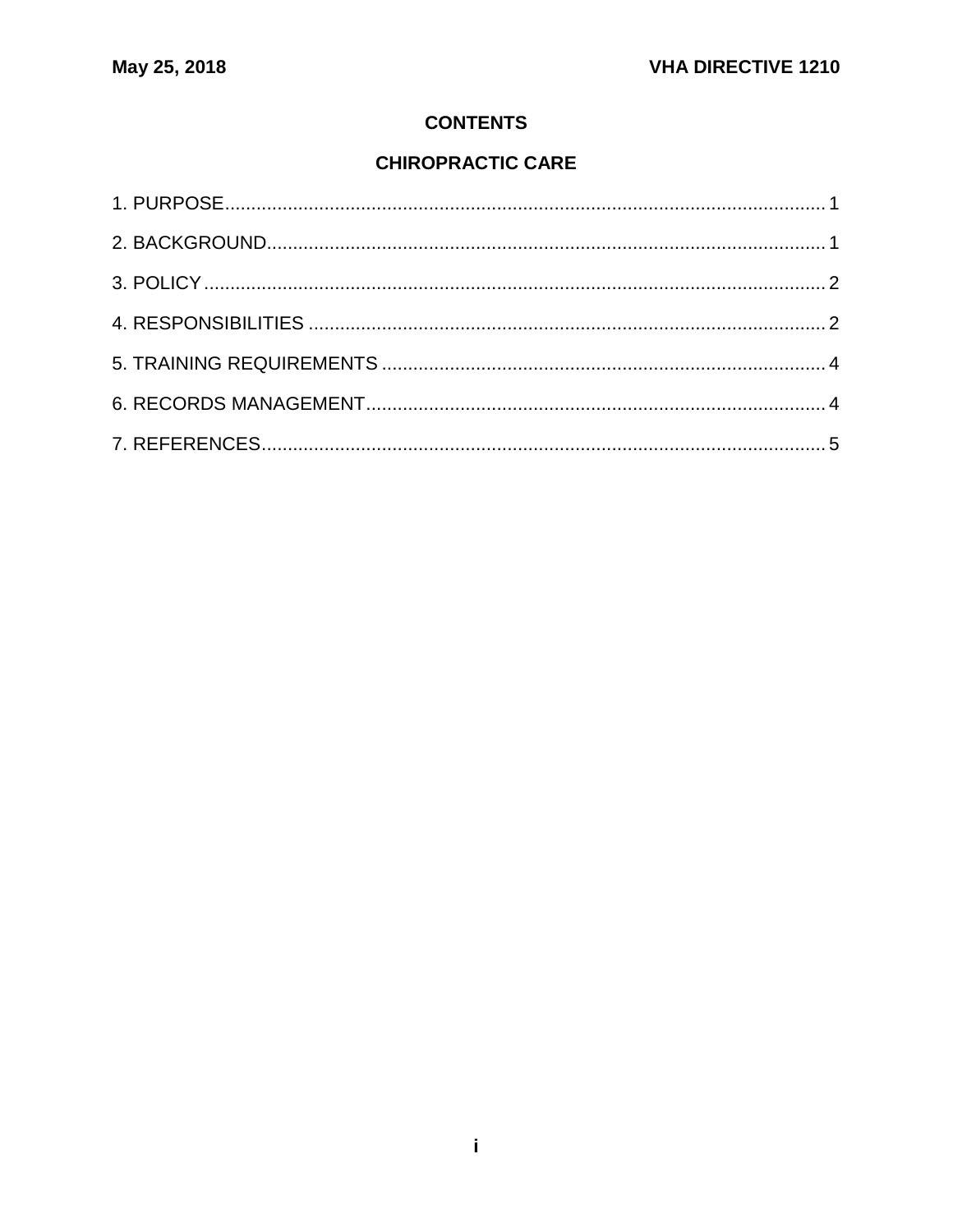## **CONTENTS**

# **CHIROPRACTIC CARE**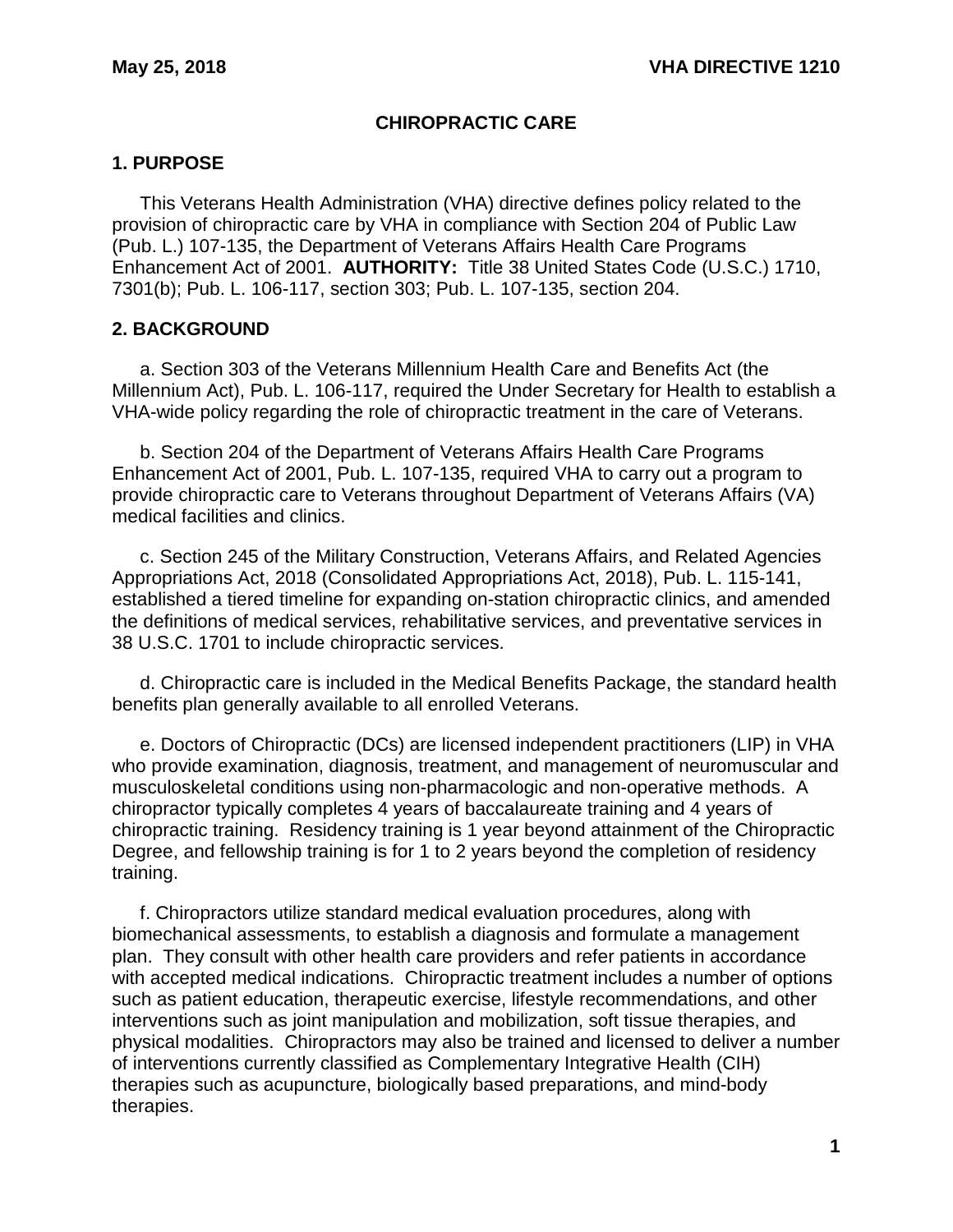### **CHIROPRACTIC CARE**

### <span id="page-2-0"></span>**1. PURPOSE**

This Veterans Health Administration (VHA) directive defines policy related to the provision of chiropractic care by VHA in compliance with Section 204 of Public Law (Pub. L.) 107-135, the Department of Veterans Affairs Health Care Programs Enhancement Act of 2001. **AUTHORITY:** Title 38 United States Code (U.S.C.) 1710, 7301(b); Pub. L. 106-117, section 303; Pub. L. 107-135, section 204.

### <span id="page-2-1"></span>**2. BACKGROUND**

a. Section 303 of the Veterans Millennium Health Care and Benefits Act (the Millennium Act), Pub. L. 106-117, required the Under Secretary for Health to establish a VHA-wide policy regarding the role of chiropractic treatment in the care of Veterans.

b. Section 204 of the Department of Veterans Affairs Health Care Programs Enhancement Act of 2001, Pub. L. 107-135, required VHA to carry out a program to provide chiropractic care to Veterans throughout Department of Veterans Affairs (VA) medical facilities and clinics.

c. Section 245 of the Military Construction, Veterans Affairs, and Related Agencies Appropriations Act, 2018 (Consolidated Appropriations Act, 2018), Pub. L. 115-141, established a tiered timeline for expanding on-station chiropractic clinics, and amended the definitions of medical services, rehabilitative services, and preventative services in 38 U.S.C. 1701 to include chiropractic services.

d. Chiropractic care is included in the Medical Benefits Package, the standard health benefits plan generally available to all enrolled Veterans.

e. Doctors of Chiropractic (DCs) are licensed independent practitioners (LIP) in VHA who provide examination, diagnosis, treatment, and management of neuromuscular and musculoskeletal conditions using non-pharmacologic and non-operative methods. A chiropractor typically completes 4 years of baccalaureate training and 4 years of chiropractic training. Residency training is 1 year beyond attainment of the Chiropractic Degree, and fellowship training is for 1 to 2 years beyond the completion of residency training.

f. Chiropractors utilize standard medical evaluation procedures, along with biomechanical assessments, to establish a diagnosis and formulate a management plan. They consult with other health care providers and refer patients in accordance with accepted medical indications. Chiropractic treatment includes a number of options such as patient education, therapeutic exercise, lifestyle recommendations, and other interventions such as joint manipulation and mobilization, soft tissue therapies, and physical modalities. Chiropractors may also be trained and licensed to deliver a number of interventions currently classified as Complementary Integrative Health (CIH) therapies such as acupuncture, biologically based preparations, and mind-body therapies.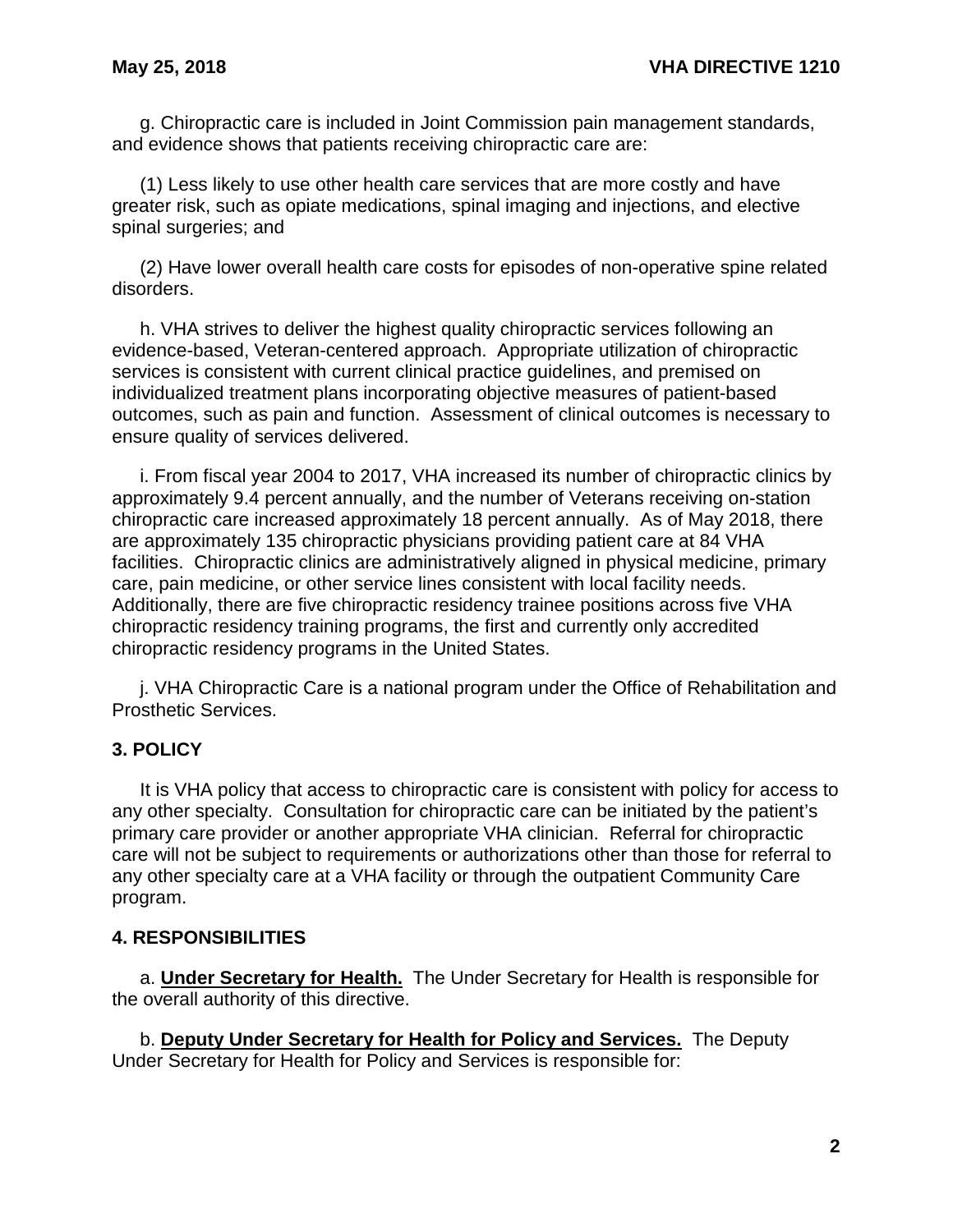g. Chiropractic care is included in Joint Commission pain management standards, and evidence shows that patients receiving chiropractic care are:

(1) Less likely to use other health care services that are more costly and have greater risk, such as opiate medications, spinal imaging and injections, and elective spinal surgeries; and

(2) Have lower overall health care costs for episodes of non-operative spine related disorders.

h. VHA strives to deliver the highest quality chiropractic services following an evidence-based, Veteran-centered approach. Appropriate utilization of chiropractic services is consistent with current clinical practice guidelines, and premised on individualized treatment plans incorporating objective measures of patient-based outcomes, such as pain and function. Assessment of clinical outcomes is necessary to ensure quality of services delivered.

i. From fiscal year 2004 to 2017, VHA increased its number of chiropractic clinics by approximately 9.4 percent annually, and the number of Veterans receiving on-station chiropractic care increased approximately 18 percent annually. As of May 2018, there are approximately 135 chiropractic physicians providing patient care at 84 VHA facilities. Chiropractic clinics are administratively aligned in physical medicine, primary care, pain medicine, or other service lines consistent with local facility needs. Additionally, there are five chiropractic residency trainee positions across five VHA chiropractic residency training programs, the first and currently only accredited chiropractic residency programs in the United States.

j. VHA Chiropractic Care is a national program under the Office of Rehabilitation and Prosthetic Services.

#### <span id="page-3-0"></span>**3. POLICY**

It is VHA policy that access to chiropractic care is consistent with policy for access to any other specialty. Consultation for chiropractic care can be initiated by the patient's primary care provider or another appropriate VHA clinician. Referral for chiropractic care will not be subject to requirements or authorizations other than those for referral to any other specialty care at a VHA facility or through the outpatient Community Care program.

#### <span id="page-3-1"></span>**4. RESPONSIBILITIES**

a. **Under Secretary for Health.** The Under Secretary for Health is responsible for the overall authority of this directive.

b. **Deputy Under Secretary for Health for Policy and Services.** The Deputy Under Secretary for Health for Policy and Services is responsible for: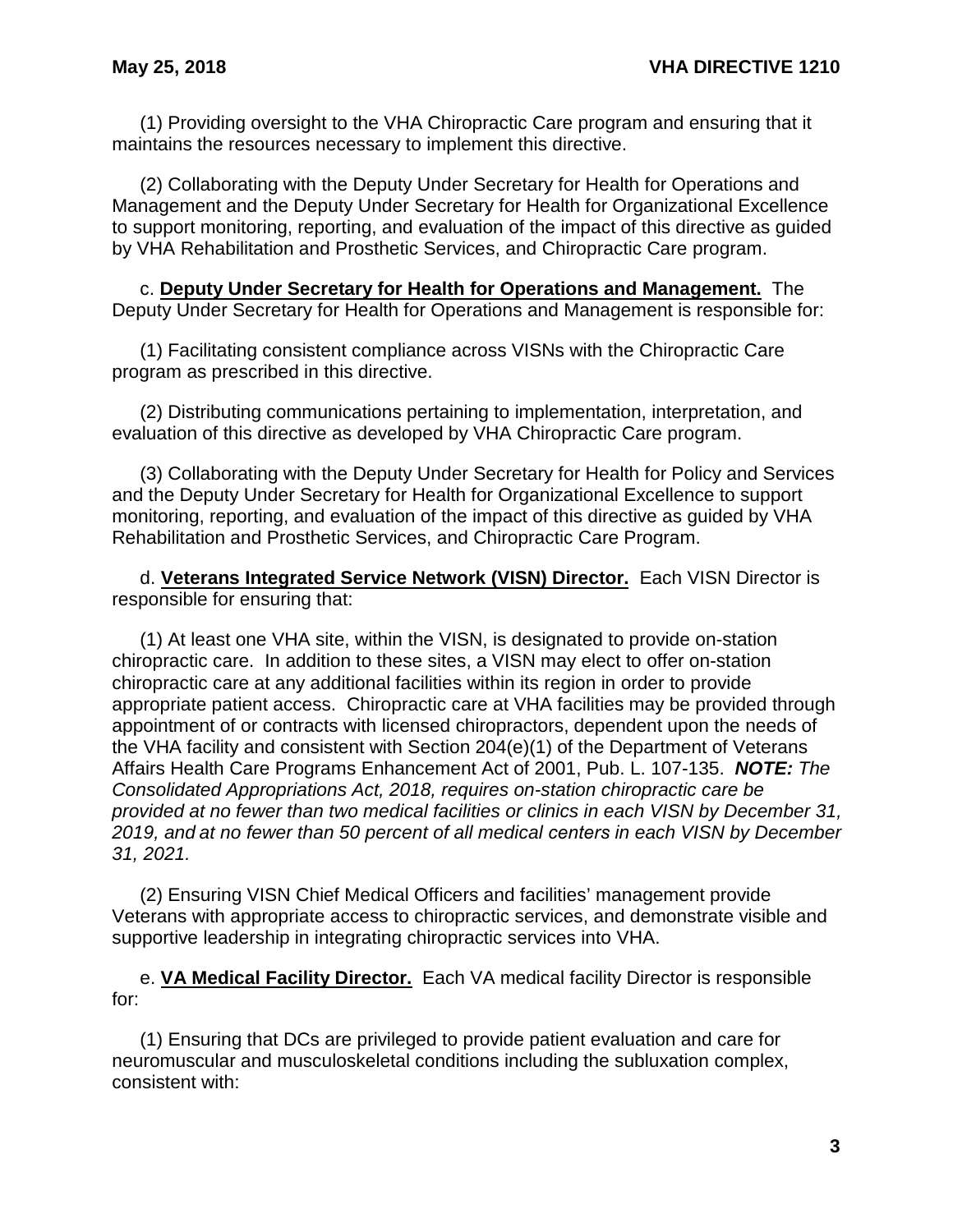(1) Providing oversight to the VHA Chiropractic Care program and ensuring that it maintains the resources necessary to implement this directive.

(2) Collaborating with the Deputy Under Secretary for Health for Operations and Management and the Deputy Under Secretary for Health for Organizational Excellence to support monitoring, reporting, and evaluation of the impact of this directive as guided by VHA Rehabilitation and Prosthetic Services, and Chiropractic Care program.

c. **Deputy Under Secretary for Health for Operations and Management.** The Deputy Under Secretary for Health for Operations and Management is responsible for:

(1) Facilitating consistent compliance across VISNs with the Chiropractic Care program as prescribed in this directive.

(2) Distributing communications pertaining to implementation, interpretation, and evaluation of this directive as developed by VHA Chiropractic Care program.

(3) Collaborating with the Deputy Under Secretary for Health for Policy and Services and the Deputy Under Secretary for Health for Organizational Excellence to support monitoring, reporting, and evaluation of the impact of this directive as guided by VHA Rehabilitation and Prosthetic Services, and Chiropractic Care Program.

d. **Veterans Integrated Service Network (VISN) Director.** Each VISN Director is responsible for ensuring that:

(1) At least one VHA site, within the VISN, is designated to provide on-station chiropractic care. In addition to these sites, a VISN may elect to offer on-station chiropractic care at any additional facilities within its region in order to provide appropriate patient access. Chiropractic care at VHA facilities may be provided through appointment of or contracts with licensed chiropractors, dependent upon the needs of the VHA facility and consistent with Section 204(e)(1) of the Department of Veterans Affairs Health Care Programs Enhancement Act of 2001, Pub. L. 107-135. *NOTE: The Consolidated Appropriations Act, 2018, requires on-station chiropractic care be provided at no fewer than two medical facilities or clinics in each VISN by December 31, 2019, and at no fewer than 50 percent of all medical centers in each VISN by December 31, 2021.* 

(2) Ensuring VISN Chief Medical Officers and facilities' management provide Veterans with appropriate access to chiropractic services, and demonstrate visible and supportive leadership in integrating chiropractic services into VHA.

e. **VA Medical Facility Director.** Each VA medical facility Director is responsible for:

(1) Ensuring that DCs are privileged to provide patient evaluation and care for neuromuscular and musculoskeletal conditions including the subluxation complex, consistent with: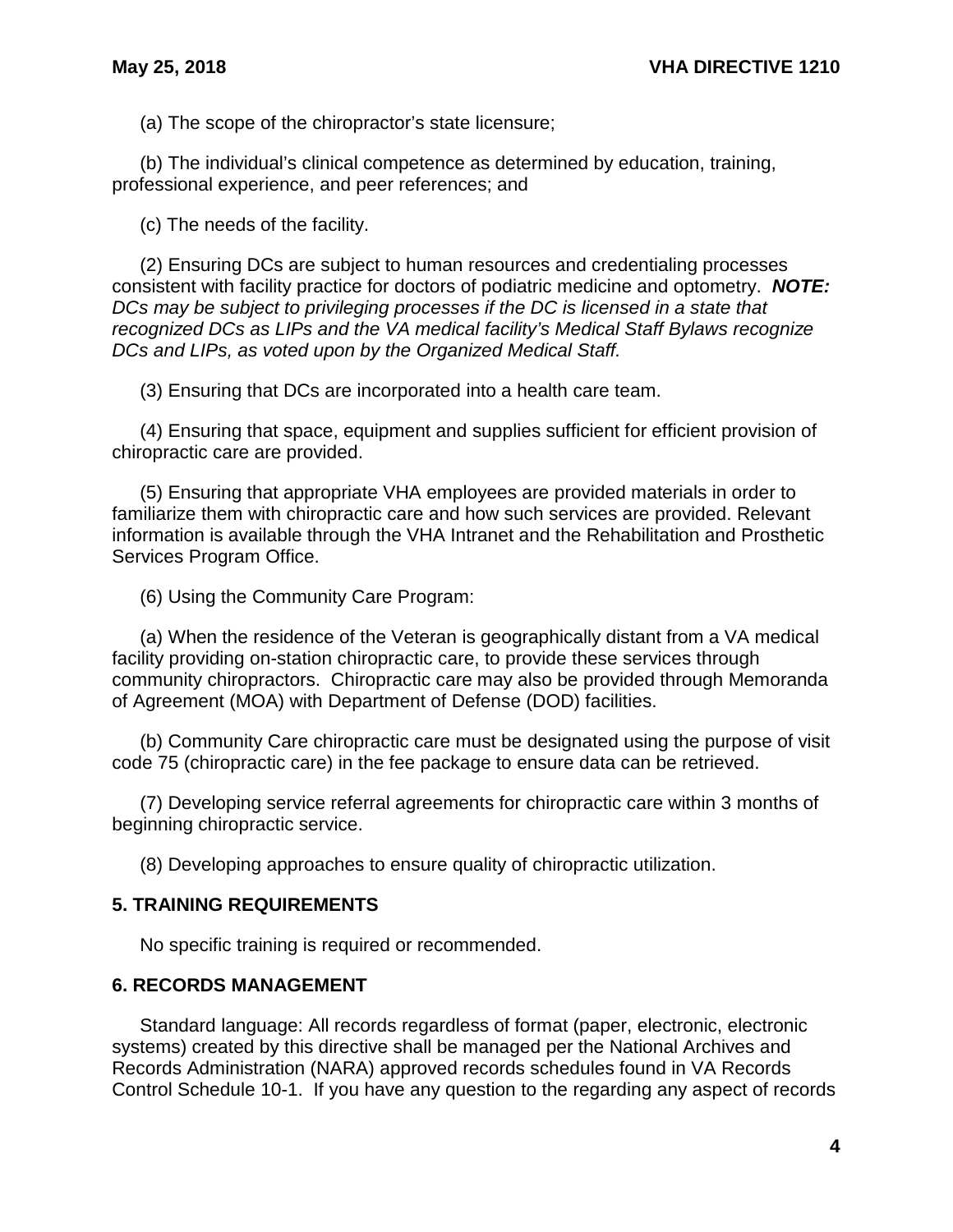(a) The scope of the chiropractor's state licensure;

(b) The individual's clinical competence as determined by education, training, professional experience, and peer references; and

(c) The needs of the facility.

(2) Ensuring DCs are subject to human resources and credentialing processes consistent with facility practice for doctors of podiatric medicine and optometry. *NOTE: DCs may be subject to privileging processes if the DC is licensed in a state that recognized DCs as LIPs and the VA medical facility's Medical Staff Bylaws recognize DCs and LIPs, as voted upon by the Organized Medical Staff.*

(3) Ensuring that DCs are incorporated into a health care team.

(4) Ensuring that space, equipment and supplies sufficient for efficient provision of chiropractic care are provided.

(5) Ensuring that appropriate VHA employees are provided materials in order to familiarize them with chiropractic care and how such services are provided. Relevant information is available through the VHA Intranet and the Rehabilitation and Prosthetic Services Program Office.

(6) Using the Community Care Program:

(a) When the residence of the Veteran is geographically distant from a VA medical facility providing on-station chiropractic care, to provide these services through community chiropractors. Chiropractic care may also be provided through Memoranda of Agreement (MOA) with Department of Defense (DOD) facilities.

(b) Community Care chiropractic care must be designated using the purpose of visit code 75 (chiropractic care) in the fee package to ensure data can be retrieved.

(7) Developing service referral agreements for chiropractic care within 3 months of beginning chiropractic service.

(8) Developing approaches to ensure quality of chiropractic utilization.

#### <span id="page-5-0"></span>**5. TRAINING REQUIREMENTS**

No specific training is required or recommended.

#### <span id="page-5-1"></span>**6. RECORDS MANAGEMENT**

Standard language: All records regardless of format (paper, electronic, electronic systems) created by this directive shall be managed per the National Archives and Records Administration (NARA) approved records schedules found in VA Records Control Schedule 10-1. If you have any question to the regarding any aspect of records